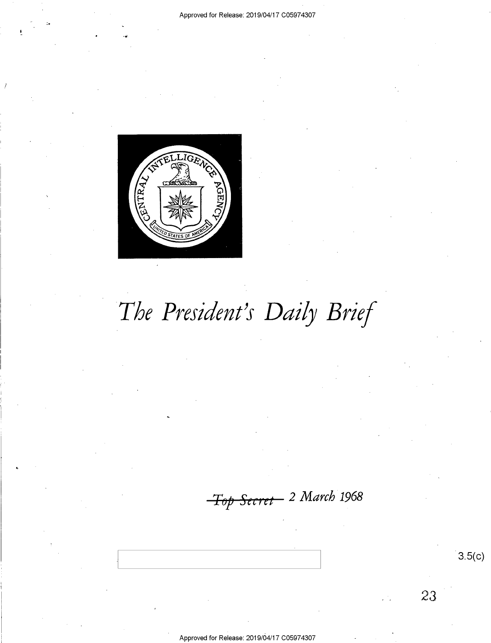

 $3.5(c)$ 

23

# The President's Daily Brief

Top Secret 2 March 1968

Approved for Release: 2019/04/17 C05974307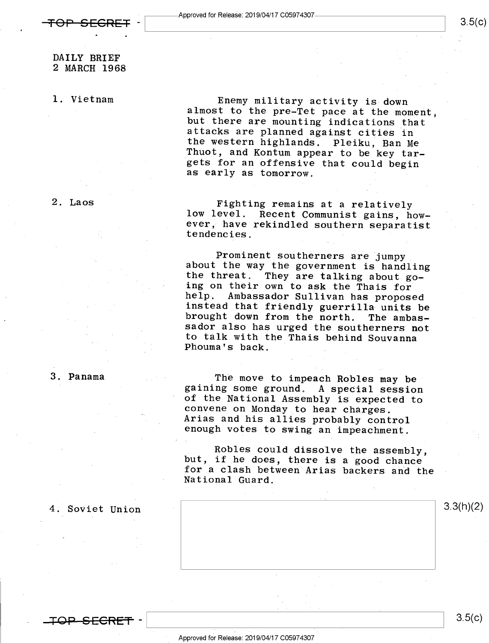l. Vietnam

Enemy military activity is down<br>almost to the pre-Tet pace at the moment,<br>but there are mounting indications that<br>attacks are planned against cities in<br>the western highlands. Pleiku, Ban Me<br>Thuot, and Kontum appear to be k

2. Laos

Fighting remains at a relatively<br>low level. Recent Communist gains, how-<br>ever, have rekindled southern separatist<br>tendencies.

Prominent southerners are jumpy<br>about the way the government is handling<br>the threat. They are talking about go-<br>ing on their own to ask the Thais for<br>help. Ambassador Sullivan has proposed<br>instead that friendly guerrilla u

The move to impeach Robles may be gaining some ground. A special session of the National Assembly is expected to convene on Monday to hear charges. Arias and his allies probably control enough votes to swing an impeachment

Robles could dissolve the assembly, but, if he does, there is a good chance for a clash between Arias backers and the National Guard.



<del>JP SFCRF</del>

3. Panama

4. Soviet Union

 $3.5(c)$ 

 $3.5(c)$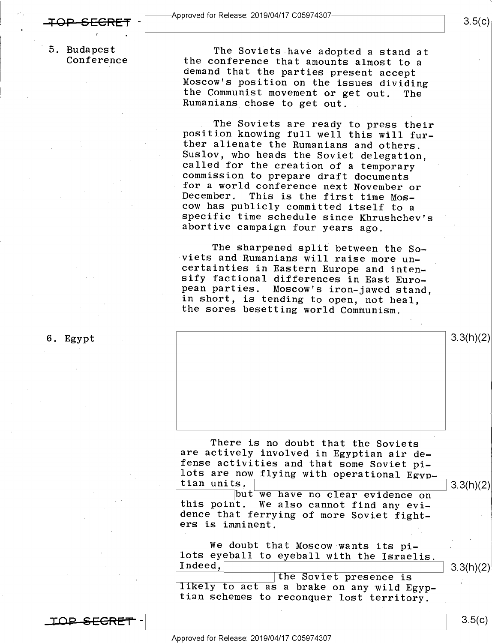5. Budapest The Soviets have adopted a stand at Conference that amounts almost to a<br>demand that the parties present accept<br>Moscow's position on the issues dividing<br>the Communist movement or get out. The the Communist movement or get out.<br>Rumanians chose to get out.

> The Soviets are ready to press their<br>position knowing full well this will fur-<br>ther alienate the Rumanians and others.<br>Suslov, who heads the Soviet delegation. called for the creation of a temporary<br>commission to prepare draft documents for a world conference next November or<br>December. This is the first time Mos-<br>cow has publicly committed itself to a<br>specific time schedule since Khrushchev's<br>abortive campaign four years ago.

The sharpened split between the So-<br>viets and Rumanians will raise more un-<br>certainties in Eastern Europe and inten-<br>sify factional differences in East Euro-<br>pean parties. Moscow's iron-jawed stand,<br>in short, is tending to

6. Egypt  $3.3(h)(2)$ 

There is no doubt that the Soviets<br>are actively involved in Egyptian air de-<br>fense activities and that some Soviet pi-<br>lots are now flying with operational Egyp-<br>tian units.  $\frac{1}{\sqrt{2\pi}}$  3.3(h)(2)

this point. We also cannot find any evi-<br>dence that ferrying of more Soviet fight-<br>ers is imminent.

We doubt that Moscow wants its pi-<br>
lots eyeball to eyeball with the Israelis.<br>
Indeed, the Soviet presence is tlikely to act as a brake on any wild Egyp-<br>
tian schemes to reconquer lost territory.

<u>TOP SECRET</u>  $\mathbf{I}$ 

 $3.5(c)$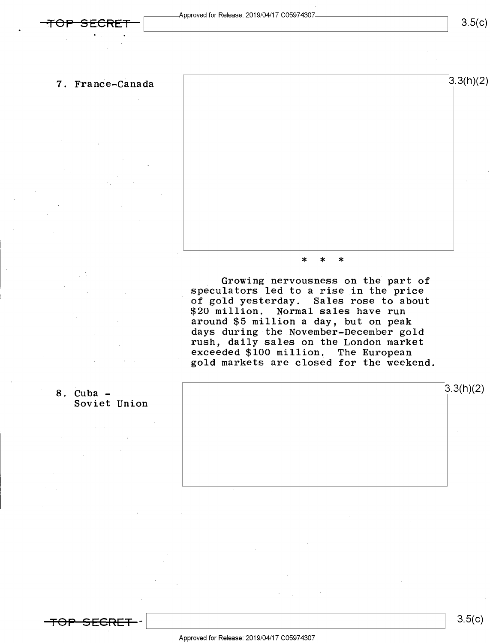

Growing nervousness on the part of speculators led to a rise in the price of gold yesterday. Sales rose to about \$20 million. Normal sales have run around \$5 million a day, but on peak days during the November-December gold<br>rush, daily sales on the London market exceeded \$100 million. The European gold markets are closed for the weekend.





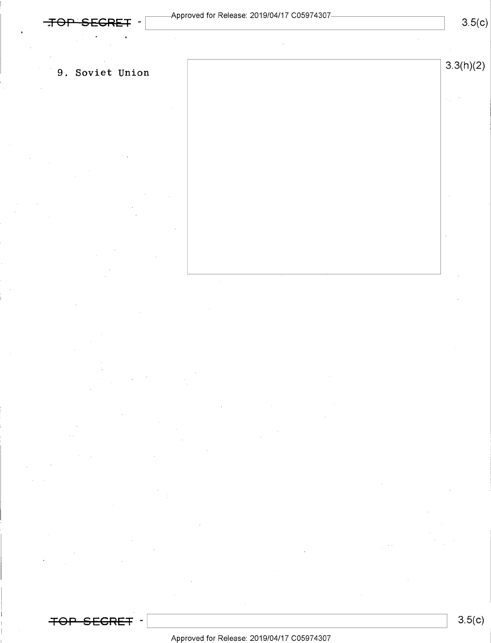$3.5(c)$ 

 $\mathcal{L}_{\rm{in}}=2$ 

### 9. Soviet Union  $3.3(h)(2)$

 $~~7~~OP$ </del> <del>SECRET</del> ·

### Approved for Release: 2019/O4/17 CO5974307

 $3.5(c)$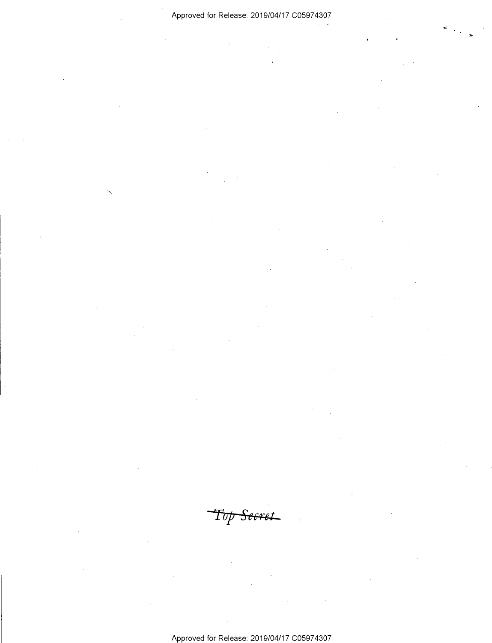### Approved for Release: 2019/O4/17 CO5974307

Top Seeret

Approved for Release: 2019/O4/17 CO5974307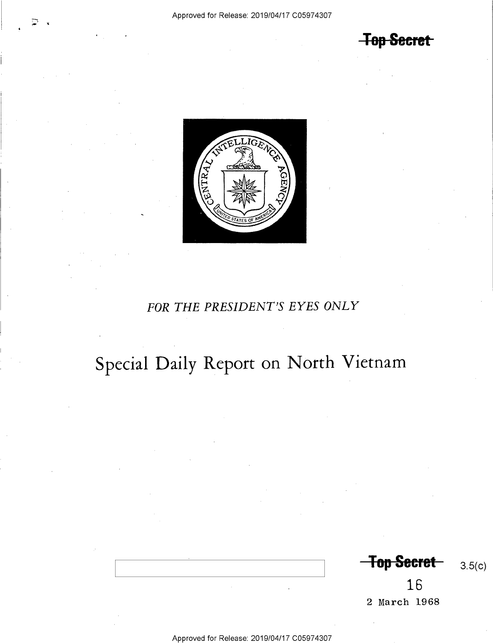**Top Secret** 



### FOR THE PRESIDENT'S EYES ONLY

## Special Daily Report on North Vietnam

**Top Secret** 

16

2 March 1968

Approved for Release: 2019/04/17 C05974307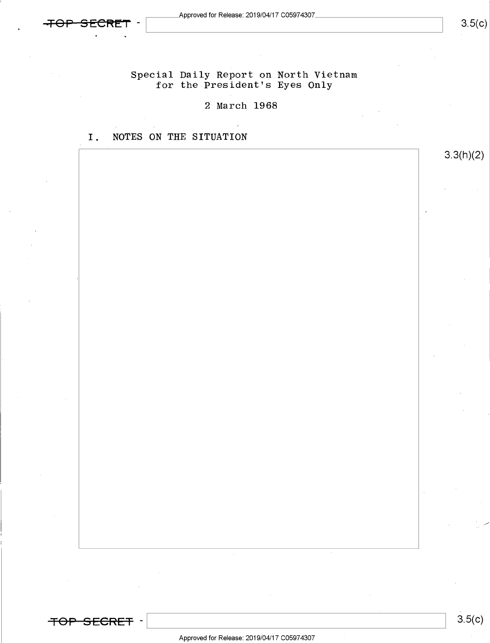

 $3.5(c)$ 

3.3(h)(2)

### Special Daily Report on North Vietnam for the President's Eyes Only

### 2 March 1968

I. NOTES ON THE SITUATION

<del>TOP SECRET</del> -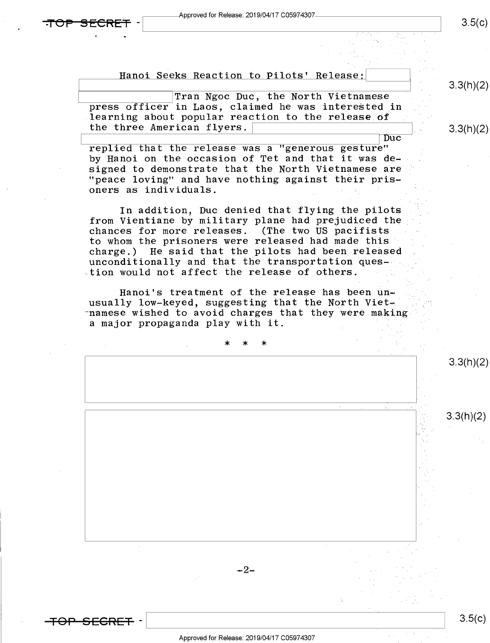Approved for Release: 2019/04/17 C05974307

~ 1

-

 $3.5(c)$ 

Hanoi Seeks Reaction to Pilots' Release:

Tran Ngoc Duc, the North Vietnamese<br>press officer in Laos, claimed he was interested in learning about popular reaction to the release of the three American flyers.

Duc<br>"replied that the release was a "generous gesture" by Hanoi on the occasion of Tet and that it was de-<br>signed to demonstrate that the North Vietnamese are "peace loving" and have nothing against their prisoners as individuals. s

In addition, Duc denied that flying the pilots from Vientiane by military plane had prejudiced the chances for more releases. (The two US pacifists to whom.the prisoners were released had made this" charge.) He said that the pilots had been released unconditionally and that the transportation ques- tion would not affect the release of others.

Hanoi's treatment of the release has been un-<br>usually low-keyed, suggesting that the North Viet--namese wished to avoid charges that they were making a major propaganda play with it. §

. , \* \* \*  $-2-$ 3.3(h)(2)  $3.3(h)(2)$ 

 $3.5(c)$ 

3.3(h)(2)

3.3(h)(2)

—'F9-P—S-EGR-FF -\ \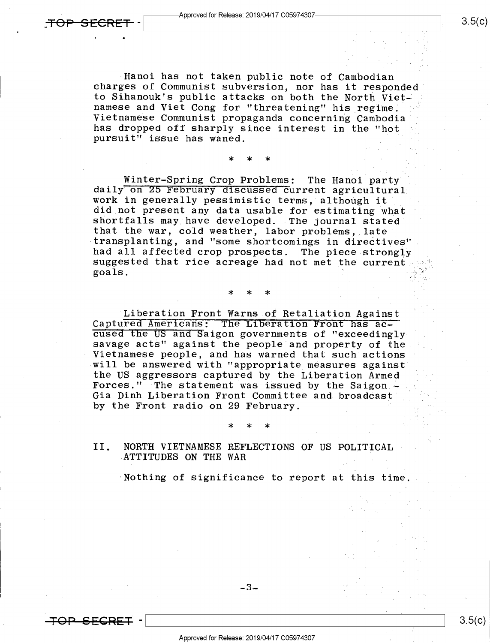<del>TOP SECRE</del>

-4 0

<del>SECRET</del> ·

Hanoi has not taken public note of Cambodian<br>charges of Communist subversion, nor has it responded<br>to Sihanouk's public attacks on both the North Vietnamese and Viet Cong for "threatening" his regime.<br>Vietnamese Communist propaganda concerning Cambodia has dropped off sharply since interest in the "hot pursuit" issue has waned.

\* \* >|<

Winter-Spring Crop Problems: The Hanoi party<br>daily on 25 February discussed current agricultural work in generally pessimistic terms, although it<br>did not present any data usable for estimating what shortfalls may have developed. The journal stated that the war, cold weather, labor problems, late transplanting, and "some shortcomings in directives" suggested that rice acreage had not met the current, goals.  $\mathbf{goa}$ ls.

#### \* \* \* »

Liberation Front Warns of Retaliation Against<br>Captured Americans: The Liberation Front has accused the US and Saigon governments of "exceedingly savage acts" against the people and property of the Vietnamese people, and has warned that such actions<br>will be answered with "appropriate measures against<br>the US aggressors captured by the Liberation Armed Forces." The statement was issued by the Saigon -Gia Dinh Liberation Front Committee and broadcast by the Front radio on 29 February.

#### II. NORTH.VIETNAMESE REFLECTIONS OF US POLITICAL ,ATTITUDES ON THE WAR

Nothing of significance to report at this time.

 $*$   $*$   $*$ 

-3-

Approved for Release: 2019/04/17 C05974307